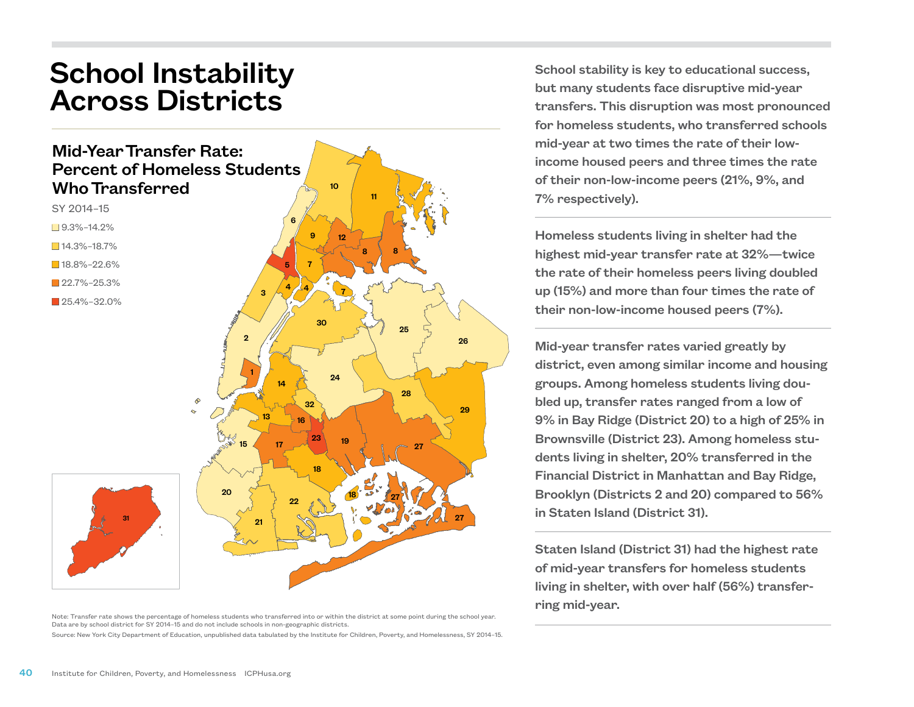## School Instability Across Districts

## Mid-Year Transfer Rate: Percent of Homeless Students Who Transferred



Note: Transfer rate shows the percentage of homeless students who transferred into or within the district at some point during the school year. Data are by school district for SY 2014–15 and do not include schools in non-geographic districts.

Source: New York City Department of Education, unpublished data tabulated by the Institute for Children, Poverty, and Homelessness, SY 2014–15.

School stability is key to educational success, but many students face disruptive mid-year transfers. This disruption was most pronounced for homeless students, who transferred schools mid-year at two times the rate of their lowincome housed peers and three times the rate of their non-low-income peers (21%, 9%, and 7% respectively).

Homeless students living in shelter had the highest mid-year transfer rate at 32%—twice the rate of their homeless peers living doubled up (15%) and more than four times the rate of their non-low-income housed peers (7%).

Mid-year transfer rates varied greatly by district, even among similar income and housing groups. Among homeless students living doubled up, transfer rates ranged from a low of 9% in Bay Ridge (District 20) to a high of 25% in Brownsville (District 23). Among homeless students living in shelter, 20% transferred in the Financial District in Manhattan and Bay Ridge, Brooklyn (Districts 2 and 20) compared to 56% in Staten Island (District 31).

Staten Island (District 31) had the highest rate of mid-year transfers for homeless students living in shelter, with over half (56%) transferring mid-year.